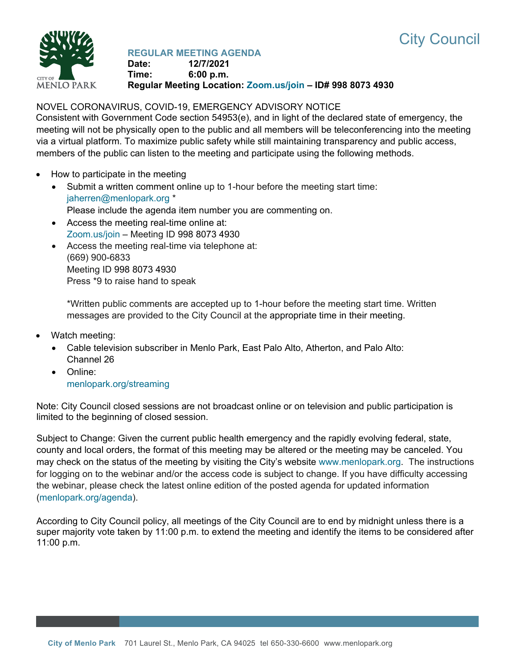



## **REGULAR MEETING AGENDA**

**Date: 12/7/2021 Time: 6:00 p.m. Regular Meeting Location: [Zoom.us/join](https://zoom.us/join) – ID# 998 8073 4930**

# NOVEL CORONAVIRUS, COVID-19, EMERGENCY ADVISORY NOTICE

Consistent with Government Code section 54953(e), and in light of the declared state of emergency, the meeting will not be physically open to the public and all members will be teleconferencing into the meeting via a virtual platform. To maximize public safety while still maintaining transparency and public access, members of the public can listen to the meeting and participate using the following methods.

- How to participate in the meeting
	- Submit a written comment online up to 1-hour before the meeting start time: [jaherren@menlopark.org](mailto:jaherren@menlopark.org?subject=November%209,%202021%20City%20Council%20meeting%20public%20comment) \* Please include the agenda item number you are commenting on.
	- Access the meeting real-time online at: [Zoom.us/join](https://zoom.us/join) – Meeting ID 998 8073 4930
	- Access the meeting real-time via telephone at: (669) 900-6833 Meeting ID 998 8073 4930 Press \*9 to raise hand to speak

\*Written public comments are accepted up to 1-hour before the meeting start time. Written messages are provided to the City Council at the appropriate time in their meeting.

- Watch meeting:
	- Cable television subscriber in Menlo Park, East Palo Alto, Atherton, and Palo Alto: Channel 26
	- Online: [menlopark.org/streaming](https://www.menlopark.org/streaming)

Note: City Council closed sessions are not broadcast online or on television and public participation is limited to the beginning of closed session.

Subject to Change: Given the current public health emergency and the rapidly evolving federal, state, county and local orders, the format of this meeting may be altered or the meeting may be canceled. You may check on the status of the meeting by visiting the City's website [www.menlopark.org.](http://www.menlopark.org/)The instructions for logging on to the webinar and/or the access code is subject to change. If you have difficulty accessing the webinar, please check the latest online edition of the posted agenda for updated information [\(menlopark.org/agenda\)](http://menlopark.org/agenda).

According to City Council policy, all meetings of the City Council are to end by midnight unless there is a super majority vote taken by 11:00 p.m. to extend the meeting and identify the items to be considered after 11:00 p.m.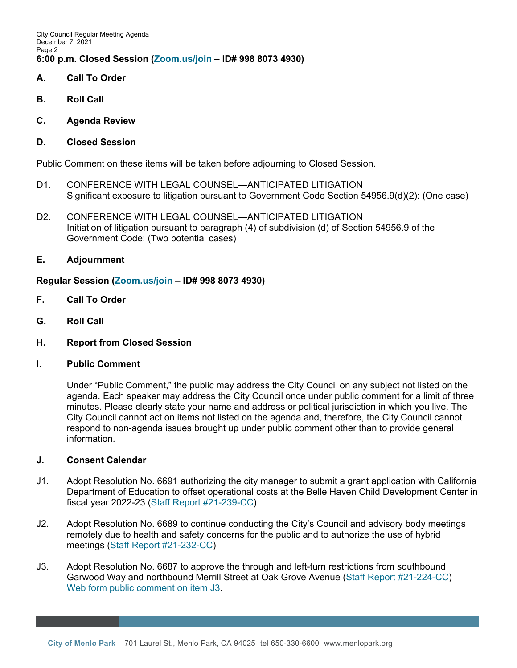City Council Regular Meeting Agenda December 7, 2021 Page 2 **6:00 p.m. Closed Session [\(Zoom.us/join](https://zoom.us/join) – ID# 998 8073 4930)**

- **A. Call To Order**
- **B. Roll Call**
- **C. Agenda Review**
- **D. Closed Session**

Public Comment on these items will be taken before adjourning to Closed Session.

- D1. CONFERENCE WITH LEGAL COUNSEL—ANTICIPATED LITIGATION Significant exposure to litigation pursuant to Government Code Section 54956.9(d)(2): (One case)
- D2. CONFERENCE WITH LEGAL COUNSEL—ANTICIPATED LITIGATION Initiation of litigation pursuant to paragraph (4) of subdivision (d) of Section 54956.9 of the Government Code: (Two potential cases)
- **E. Adjournment**

### **Regular Session [\(Zoom.us/join](https://zoom.us/join) – ID# 998 8073 4930)**

- **F. Call To Order**
- **G. Roll Call**
- **H. Report from Closed Session**
- **I. Public Comment**

Under "Public Comment," the public may address the City Council on any subject not listed on the agenda. Each speaker may address the City Council once under public comment for a limit of three minutes. Please clearly state your name and address or political jurisdiction in which you live. The City Council cannot act on items not listed on the agenda and, therefore, the City Council cannot respond to non-agenda issues brought up under public comment other than to provide general information.

### **J. Consent Calendar**

- J1. Adopt Resolution No. 6691 authorizing the city manager to submit a grant application with California Department of Education to offset operational costs at the Belle Haven Child Development Center in fiscal year 2022-23 [\(Staff Report #21-239-CC\)](https://www.menlopark.org/DocumentCenter/View/30079/J1-20211207-CC-BHCDC-grant-CDE)
- J2. Adopt Resolution No. 6689 to continue conducting the City's Council and advisory body meetings remotely due to health and safety concerns for the public and to authorize the use of hybrid meetings [\(Staff Report #21-232-CC\)](https://www.menlopark.org/DocumentCenter/View/30067/J2-20211207-CC-AB361-compliance)
- J3. Adopt Resolution No. 6687 to approve the through and left-turn restrictions from southbound Garwood Way and northbound Merrill Street at Oak Grove Avenue [\(Staff Report #21-224-CC\)](https://www.menlopark.org/DocumentCenter/View/30068/J3-20211207-CC-left-turn-rest-Garwood-Merrill) [Web form public comment on item J3.](https://www.menlopark.org/DocumentCenter/View/30097/J3-public-comment)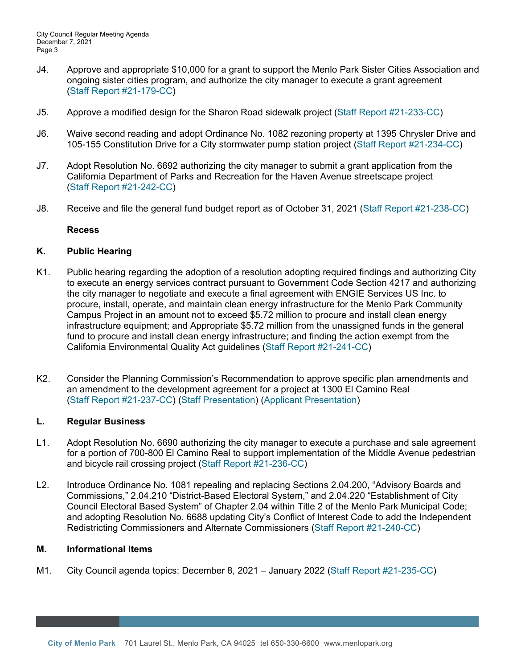- J4. Approve and appropriate \$10,000 for a grant to support the Menlo Park Sister Cities Association and ongoing sister cities program, and authorize the city manager to execute a grant agreement [\(Staff Report #21-179-CC\)](https://www.menlopark.org/DocumentCenter/View/30069/J4-20211207-CC-Sister-Cities-appropriation)
- J5. Approve a modified design for the Sharon Road sidewalk project [\(Staff Report #21-233-CC\)](https://www.menlopark.org/DocumentCenter/View/30070/J5-20211207-CC-Sharon-Rd-sidewalk)
- J6. Waive second reading and adopt Ordinance No. 1082 rezoning property at 1395 Chrysler Drive and 105-155 Constitution Drive for a City stormwater pump station project [\(Staff Report #21-234-CC\)](https://www.menlopark.org/DocumentCenter/View/30071/J6-20211207-CC-Chrysler-pump-station)
- J7. Adopt Resolution No. 6692 authorizing the city manager to submit a grant application from the California Department of Parks and Recreation for the Haven Avenue streetscape project [\(Staff Report #21-242-CC\)](https://www.menlopark.org/DocumentCenter/View/30083/J7-20211207-CC-Haven-streetscape)
- J8. Receive and file the general fund budget report as of October 31, 2021 [\(Staff Report #21-238-CC\)](https://www.menlopark.org/DocumentCenter/View/30078/J8-20211207-CC-General-fund-20211031)

#### **Recess**

### **K. Public Hearing**

- K1. Public hearing regarding the adoption of a resolution adopting required findings and authorizing City to execute an energy services contract pursuant to Government Code Section 4217 and authorizing the city manager to negotiate and execute a final agreement with ENGIE Services US Inc. to procure, install, operate, and maintain clean energy infrastructure for the Menlo Park Community Campus Project in an amount not to exceed \$5.72 million to procure and install clean energy infrastructure equipment; and Appropriate \$5.72 million from the unassigned funds in the general fund to procure and install clean energy infrastructure; and finding the action exempt from the California Environmental Quality Act guidelines [\(Staff Report #21-241-CC\)](https://www.menlopark.org/DocumentCenter/View/30082/K1-20211207-CC-MPCC-microgrid)
- K2. Consider the Planning Commission's Recommendation to approve specific plan amendments and an amendment to the development agreement for a project at 1300 El Camino Real [\(Staff Report #21-237-CC\)](https://www.menlopark.org/DocumentCenter/View/30076/K2-20211207-CC-Springline) [\(Staff Presentation\)](https://www.menlopark.org/DocumentCenter/View/30100/K2-presentation-Staff) [\(Applicant Presentation\)](https://www.menlopark.org/DocumentCenter/View/30099/K2-presentation-Springline)

### **L. Regular Business**

- L1. Adopt Resolution No. 6690 authorizing the city manager to execute a purchase and sale agreement for a portion of 700-800 El Camino Real to support implementation of the Middle Avenue pedestrian and bicycle rail crossing project [\(Staff Report #21-236-CC\)](https://www.menlopark.org/DocumentCenter/View/30072/L1-20211207-CC-Middle-undercrossing)
- L2. Introduce Ordinance No. 1081 repealing and replacing Sections 2.04.200, "Advisory Boards and Commissions," 2.04.210 "District-Based Electoral System," and 2.04.220 "Establishment of City Council Electoral Based System" of Chapter 2.04 within Title 2 of the Menlo Park Municipal Code; and adopting Resolution No. 6688 updating City's Conflict of Interest Code to add the Independent Redistricting Commissioners and Alternate Commissioners [\(Staff Report #21-240-CC\)](https://www.menlopark.org/DocumentCenter/View/30081/L2-20211207-CC-COI-update-add-IRC)

### **M. Informational Items**

M1. City Council agenda topics: December 8, 2021 – January 2022 [\(Staff Report #21-235-CC\)](https://www.menlopark.org/DocumentCenter/View/30077/M1-20211207-CC-CC-agenda-topics)